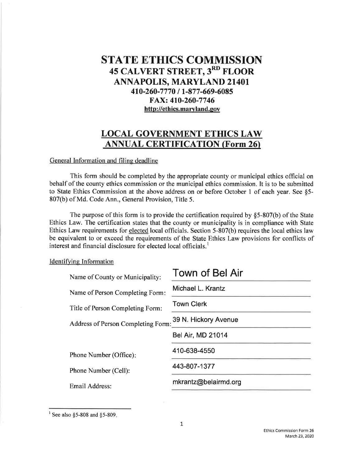## **STATE ETHICS COMMISSION 45 CALVERT STREET, 3RD FLOOR ANNAPOLIS, MARYLAND 21401** 410-260-7770 / 1-877-669-6085 FAX: 410-260-7746 http://ethics.maryland.gov

## **LOCAL GOVERNMENT ETHICS LAW ANNUAL CERTIFICATION (Form 26)**

## General Information and filing deadline

This form should be completed by the appropriate county or municipal ethics official on behalf of the county ethics commission or the municipal ethics commission. It is to be submitted to State Ethics Commission at the above address on or before October 1 of each year. See §5-807(b) of Md. Code Ann., General Provision, Title 5.

The purpose of this form is to provide the certification required by  $§5-807(b)$  of the State Ethics Law. The certification states that the county or municipality is in compliance with State Ethics Law requirements for elected local officials. Section 5-807(b) requires the local ethics law be equivalent to or exceed the requirements of the State Ethics Law provisions for conflicts of interest and financial disclosure for elected local officials.

## Identifying Information

| Name of County or Municipality:    | <b>Town of Bel Air</b>   |
|------------------------------------|--------------------------|
| Name of Person Completing Form:    | Michael L. Krantz        |
| Title of Person Completing Form:   | <b>Town Clerk</b>        |
| Address of Person Completing Form: | 39 N. Hickory Avenue     |
|                                    | <b>Bel Air, MD 21014</b> |
| Phone Number (Office):             | 410-638-4550             |
| Phone Number (Cell):               | 443-807-1377             |
| Email Address:                     | mkrantz@belairmd.org     |
|                                    |                          |

<sup>&</sup>lt;sup>1</sup> See also §5-808 and §5-809.